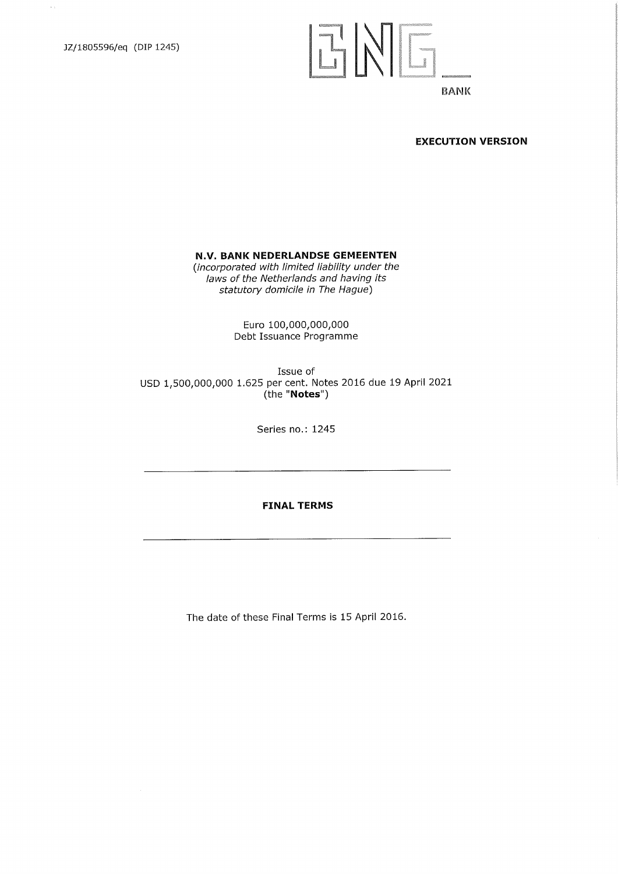$\sim$ 

## ENG

## BANK

#### **EXECUTION VERSION**

## **N.V. BANK NEDERLANDSE GEMEENTEN**

*(incorporated with limited liability under the laws of the Netherlands and having its statutory domicile in The Hague)* 

> Euro 100,000,000,000 Debt Issuance Programme

Issue of USD 1,500,000,000 1.625 per cent. Notes 2016 due 19 April 2021 (the "Notes")

Series no.: 1245

**FINAL TERMS** 

The date of these Final Terms is 15 April 2016.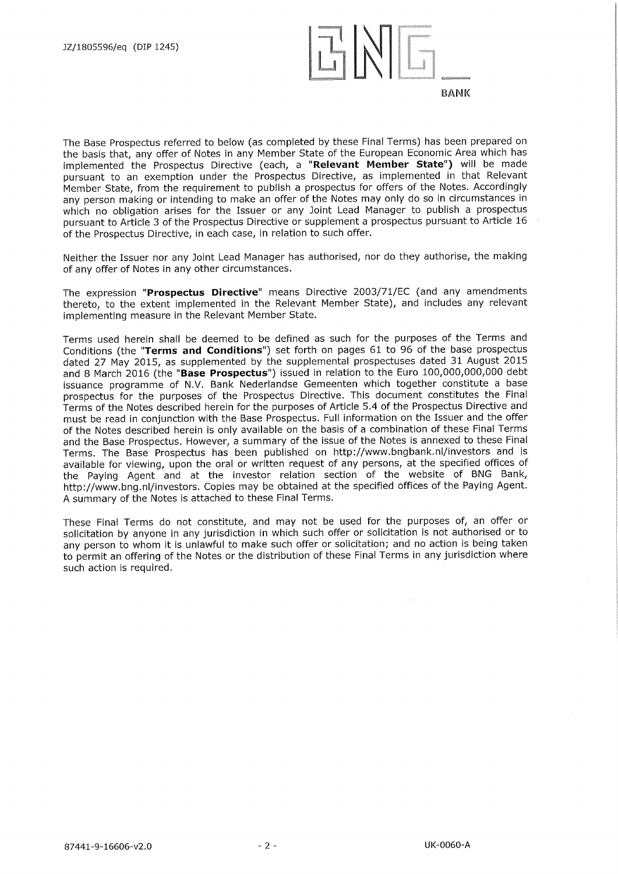

The Base Prospectus referred to below (as completed by these Final Terms) has been prepared on the basis that, any offer of Notes in any Member State of the European Economic Area which has implemented the Prospectus Directive (each, a **"Relevant Member State")** will be made pursuant to an exemption under the Prospectus Directive, as implemented in that Relevant Member State, from the requirement to publish a prospectus for offers of the Notes. Accordingly any person making or intending to make an offer of the Notes may only do so in circumstances in which no obligation arises for the Issuer or any Joint Lead Manager to publish a prospectus pursuant to Article 3 of the Prospectus Directive or supplement a prospectus pursuant to Article 16 of the Prospectus Directive, in each case, in relation to such offer.

Neither the Issuer nor any Joint Lead Manager has authorised, nor do they authorise, the making of any offer of Notes in any other circumstances.

The expression **"Prospectus Directive"** means Directive 2003/71/EC (and any amendments thereto, to the extent implemented in the Relevant Member State), and includes any relevant implementing measure in the Relevant Member State.

Terms used herein shall be deemed to be defined as such for the purposes of the Terms and Conditions (the **"Terms and Conditions")** set forth on pages 61 to 96 of the base prospectus dated 27 May 2015, as supplemented by the supplemental prospectuses dated 31 August 2015 and 8 March 2016 (the **"Base Prospectus")** issued in relation to the Euro 100,000,000,000 debt issuance programme of N.V. Bank Nederlandse Gemeenten which together constitute a base prospectus for the purposes of the Prospectus Directive. This document constitutes the Final Terms of the Notes described herein for the purposes of Article 5.4 of the Prospectus Directive and must be read in conjunction with the Base Prospectus. Full information on the Issuer and the offer of the Notes described herein is only available on the basis of a combination of these Final Terms and the Base Prospectus. However, a summary of the issue of the Notes is annexed to these Final Terms. The Base Prospectus has been published on http://www.bngbank.nl/investors and is available for viewing, upon the oral or written request of any persons, at the specified offices of the Paying Agent and at the investor relation section of the website of BNG Bank, http://www.bng.nl/investors. Copies may be obtained at the specified offices of the Paying Agent. A summary of the Notes is attached to these Final Terms.

These Final Terms do not constitute, and may not be used for the purposes of, an offer or solicitation by anyone in any jurisdiction in which such offer or solicitation is not authorised or to any person to whom it is unlawful to make such offer or solicitation; and no action is being taken to permit an offering of the Notes or the distribution of these Final Terms in any jurisdiction where such action is required.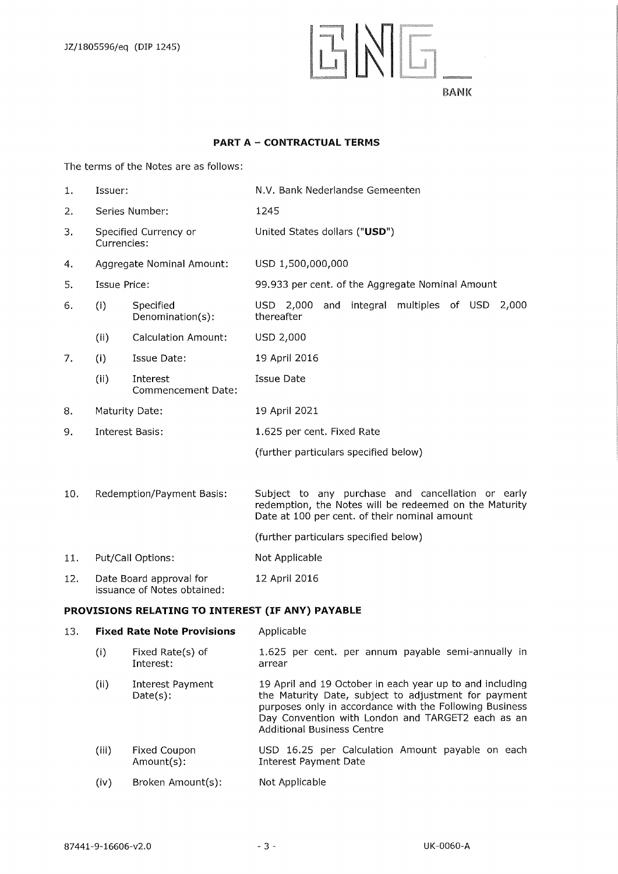E N G

## **PART A — CONTRACTUAL TERMS**

The terms of the Notes are as follows:

| 1.  | Issuer:                              |                                                        | N.V. Bank Nederlandse Gemeenten                                                                                                                              |
|-----|--------------------------------------|--------------------------------------------------------|--------------------------------------------------------------------------------------------------------------------------------------------------------------|
| 2.  |                                      | Series Number:                                         | 1245                                                                                                                                                         |
| 3.  | Specified Currency or<br>Currencies: |                                                        | United States dollars ("USD")                                                                                                                                |
| 4.  |                                      | Aggregate Nominal Amount:                              | USD 1,500,000,000                                                                                                                                            |
| 5.  | Issue Price:                         |                                                        | 99.933 per cent. of the Aggregate Nominal Amount                                                                                                             |
| 6.  | (i)                                  | Specified<br>Denomination(s):                          | USD 2,000<br>integral multiples of USD 2,000<br>and<br>thereafter                                                                                            |
|     | (ii)                                 | <b>Calculation Amount:</b>                             | USD 2,000                                                                                                                                                    |
| 7.  | (i)                                  | Issue Date:                                            | 19 April 2016                                                                                                                                                |
|     | (ii)                                 | Interest<br>Commencement Date:                         | Issue Date                                                                                                                                                   |
| 8.  | Maturity Date:                       |                                                        | 19 April 2021                                                                                                                                                |
| 9.  | <b>Interest Basis:</b>               |                                                        | 1.625 per cent. Fixed Rate                                                                                                                                   |
|     |                                      |                                                        | (further particulars specified below)                                                                                                                        |
| 10. |                                      | Redemption/Payment Basis:                              | Subject to any purchase and cancellation or early<br>redemption, the Notes will be redeemed on the Maturity<br>Date at 100 per cent. of their nominal amount |
|     |                                      |                                                        | (further particulars specified below)                                                                                                                        |
| 11. |                                      | Put/Call Options:                                      | Not Applicable                                                                                                                                               |
| 12. |                                      | Date Board approval for<br>issuance of Notes obtained: | 12 April 2016                                                                                                                                                |

## **PROVISIONS RELATING TO INTEREST (IF ANY) PAYABLE**

| 13. | <b>Fixed Rate Note Provisions</b> |                                 | Applicable                                                                                                                                                                                                                                                            |
|-----|-----------------------------------|---------------------------------|-----------------------------------------------------------------------------------------------------------------------------------------------------------------------------------------------------------------------------------------------------------------------|
|     | (i)                               | Fixed Rate(s) of<br>Interest:   | 1.625 per cent. per annum payable semi-annually in<br>arrear                                                                                                                                                                                                          |
|     | (ii)                              | Interest Payment<br>$Date(s)$ : | 19 April and 19 October in each year up to and including<br>the Maturity Date, subject to adjustment for payment<br>purposes only in accordance with the Following Business<br>Day Convention with London and TARGET2 each as an<br><b>Additional Business Centre</b> |
|     | (iii)                             | Fixed Coupon<br>Amount(s):      | USD 16.25 per Calculation Amount payable on each<br>Interest Payment Date                                                                                                                                                                                             |
|     | (iv)                              | Broken Amount(s):               | Not Applicable                                                                                                                                                                                                                                                        |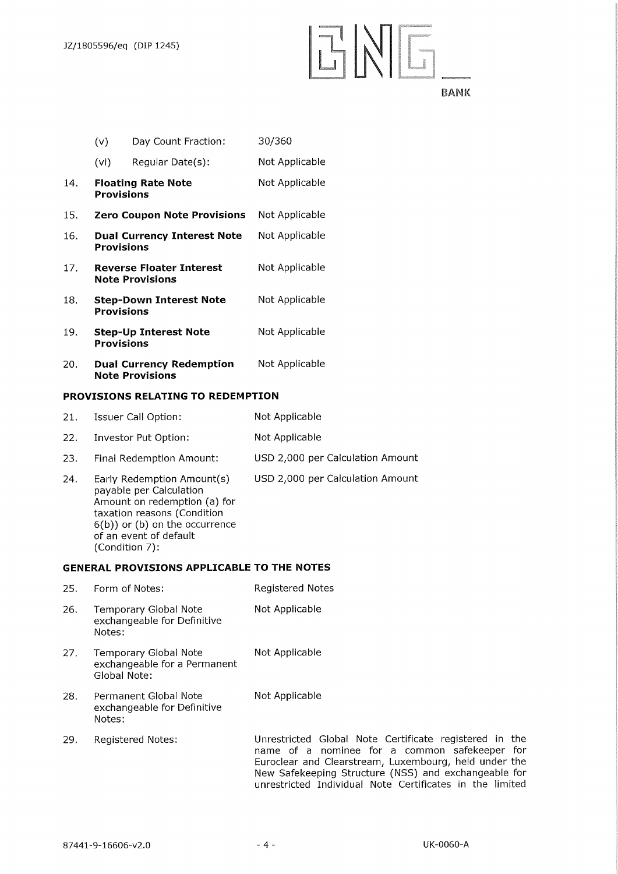## ENE

**BANK** 

- (v) Day Count Fraction: (vi) Regular Date(s): 30/360 Not Applicable 14. **Floating Rate Note Provisions**  Not Applicable 15. **Zero Coupon Note Provisions** Not Applicable 16. **Dual Currency Interest Note Provisions**  Not Applicable 17. **Reverse Floater Interest Note Provisions**  Not Applicable 18. **Step-Down Interest Note**  Not Applicable
- **Provisions**  19. **Step-Up Interest Note Provisions**  Not Applicable
- 20. **Dual Currency Redemption Note Provisions**  Not Applicable

## **PROVISIONS RELATING TO REDEMPTION**

6(b)) or (b) on the occurrence

of an event of default

(Condition 7):

| 21. | Issuer Call Option:                                                                                                  | Not Applicable                   |
|-----|----------------------------------------------------------------------------------------------------------------------|----------------------------------|
| 22. | Investor Put Option:                                                                                                 | Not Applicable                   |
| 23. | Final Redemption Amount:                                                                                             | USD 2,000 per Calculation Amount |
| 24. | Early Redemption Amount(s)<br>payable per Calculation<br>Amount on redemption (a) for<br>taxation reasons (Condition | USD 2,000 per Calculation Amount |

## **GENERAL PROVISIONS APPLICABLE TO THE NOTES**

| 25. | Form of Notes:                                                        | <b>Registered Notes</b>                                                                                                                                                                                                  |
|-----|-----------------------------------------------------------------------|--------------------------------------------------------------------------------------------------------------------------------------------------------------------------------------------------------------------------|
| 26. | <b>Temporary Global Note</b><br>exchangeable for Definitive<br>Notes: | Not Applicable                                                                                                                                                                                                           |
| 27. | Temporary Global Note<br>exchangeable for a Permanent<br>Global Note: | Not Applicable                                                                                                                                                                                                           |
| 28. | Permanent Global Note<br>exchangeable for Definitive<br>Notes:        | Not Applicable                                                                                                                                                                                                           |
| 29. | <b>Registered Notes:</b>                                              | Unrestricted Global Note Certificate registered in the<br>name of a nominee for a common safekeeper for<br>Euroclear and Clearstream, Luxembourg, held under the<br>New Safekeeping Structure (NSS) and exchangeable for |

unrestricted Individual Note Certificates in the limited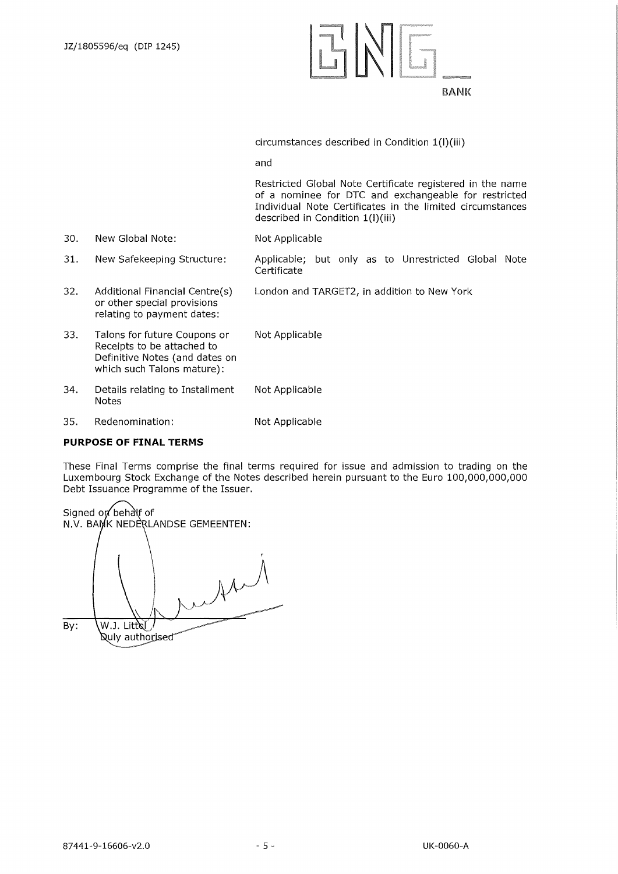

circumstances described in Condition 1(I)(iii)

and

Restricted Global Note Certificate registered in the name of a nominee for DTC and exchangeable for restricted Individual Note Certificates in the limited circumstances described in Condition 1(I)(iii)

- Not Applicable 30. New Global Note:
- Applicable; but only as to Unrestricted Global Note Certificate 31. New Safekeeping Structure:
- London and TARGET2, in addition to New York 32. Additional Financial Centre(s) or other special provisions relating to payment dates:
- Not Applicable Not Applicable 33. Talons for future Coupons or Receipts to be attached to Definitive Notes (and dates on which such Talons mature): 34. Details relating to Installment Notes
- Not Applicable 35. Redenomination:

## **PURPOSE OF FINAL TERMS**

These Final Terms comprise the final terms required for issue and admission to trading on the Luxembourg Stock Exchange of the Notes described herein pursuant to the Euro 100,000,000,000 Debt Issuance Programme of the Issuer.

Signed on behalf of N.V. BAMK NEDERLANDSE GEMEENTEN:  $\mathcal{M}$ By:  $\left\{W, J, Littel\right\}$ **Quly authorised**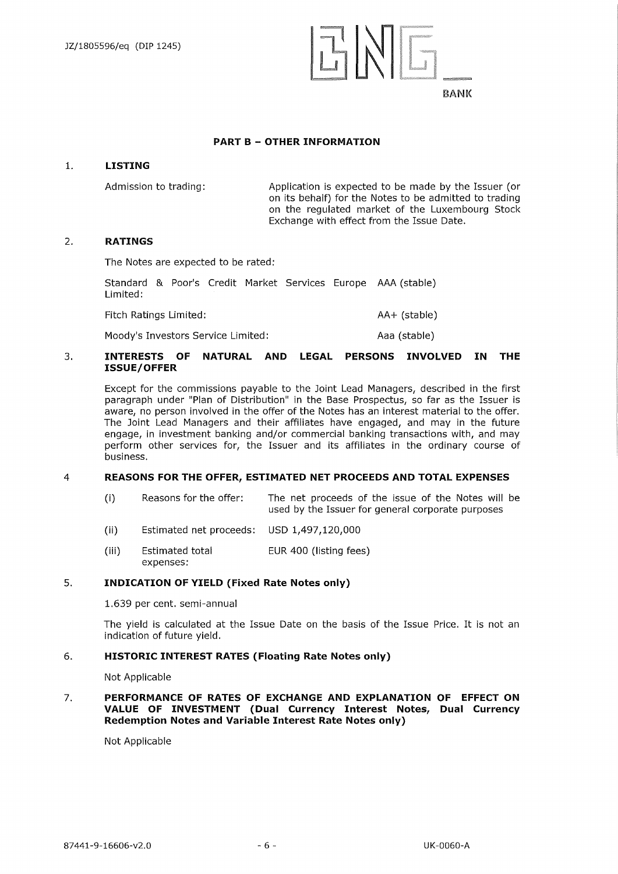

### **PART B — OTHER INFORMATION**

#### **1. LISTING**

Admission to trading: Application is expected to be made by the Issuer (or on its behalf) for the Notes to be admitted to trading on the regulated market of the Luxembourg Stock Exchange with effect from the Issue Date.

#### **2. RATINGS**

The Notes are expected to be rated:

Standard & Poor's Credit Market Services Europe AAA (stable) Limited:

Fitch Ratings Limited: AA+ (stable)

Moody's Investors Service Limited: Moody's Investors Service Limited:

## **3. INTERESTS OF NATURAL AND LEGAL PERSONS INVOLVED IN THE ISSUE/OFFER**

Except for the commissions payable to the Joint Lead Managers, described in the first paragraph under "Plan of Distribution" in the Base Prospectus, so far as the Issuer is aware, no person involved in the offer of the Notes has an interest material to the offer. The Joint Lead Managers and their affiliates have engaged, and may in the future engage, in investment banking and/or commercial banking transactions with, and may perform other services for, the Issuer and its affiliates in the ordinary course of business.

## 4 **REASONS FOR THE OFFER, ESTIMATED NET PROCEEDS AND TOTAL EXPENSES**

- (i) Reasons for the offer: The net proceeds of the issue of the Notes will be used by the Issuer for general corporate purposes
- (ii) Estimated net proceeds: USD 1,497,120,000
- (iii) Estimated total EUR 400 (listing fees) expenses:

## **5. INDICATION OF YIELD (Fixed Rate Notes only)**

1.639 per cent. semi-annual

The yield is calculated at the Issue Date on the basis of the Issue Price. It is not an indication of future yield.

## **6. HISTORIC INTEREST RATES (Floating Rate Notes only)**

Not Applicable

**7. PERFORMANCE OF RATES OF EXCHANGE AND EXPLANATION OF EFFECT ON VALUE OF INVESTMENT (Dual Currency Interest Notes, Dual Currency Redemption Notes and Variable Interest Rate Notes only)**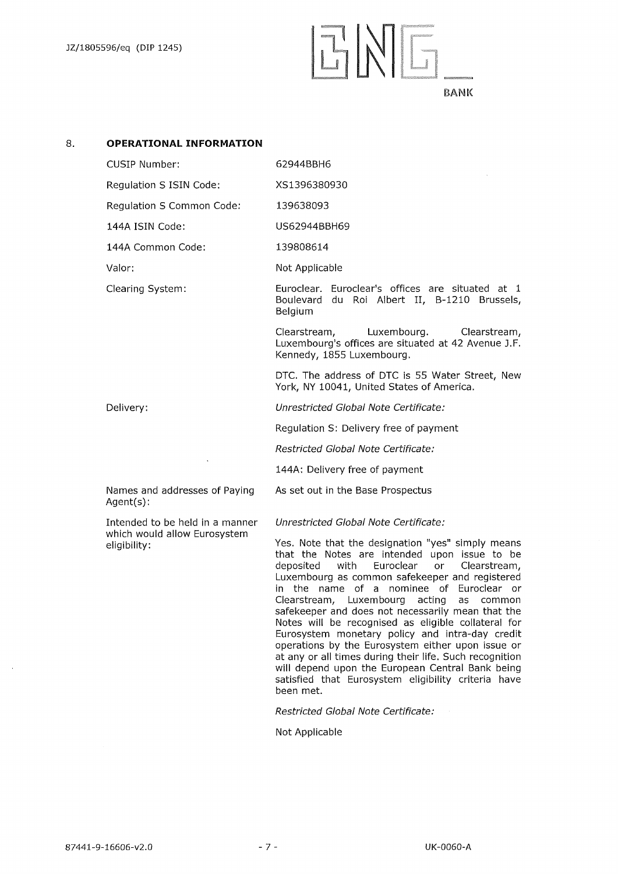

## 8. **OPERATIONAL INFORMATION**

| <b>CUSIP Number:</b>      | 62944BBH6                                                                                                          |
|---------------------------|--------------------------------------------------------------------------------------------------------------------|
| Regulation S ISIN Code:   | XS1396380930                                                                                                       |
| Regulation S Common Code: | 139638093                                                                                                          |
| 144A ISIN Code:           | US62944BBH69                                                                                                       |
| 144A Common Code:         | 139808614                                                                                                          |
| Valor:                    | Not Applicable                                                                                                     |
| Clearing System:          | Euroclear. Euroclear's offices are situated at 1<br>Boulevard du Roi Albert II, B-1210 Brussels,<br><b>Belgium</b> |
|                           | Clearstream, Luxembourg.<br>Clearstream,<br>Luxembourg's offices are situated at 42 Avenue J.F.                    |

DTC. The address of DTC is 55 Water Street, New York, NY 10041, United States of America.

*Unrestricted Global Note Certificate:* 

Kennedy, 1855 Luxembourg.

Regulation S: Delivery free of payment

*Restricted Global Note Certificate:* 

144A: Delivery free of payment

As set out in the Base Prospectus

Names and addresses of Paying Agent(s):

 $\ddot{\phantom{a}}$ 

Delivery:

Intended to be held in a manner which would allow Eurosystem eligibility:

*Unrestricted Global Note Certificate:* 

Yes. Note that the designation "yes" simply means that the Notes are intended upon issue to be deposited with Euroclear or Clearstream, Luxembourg as common safekeeper and registered in the name of a nominee of Euroclear or Clearstream, Luxembourg acting as common safekeeper and does not necessarily mean that the Notes will be recognised as eligible collateral for Eurosystem monetary policy and intra-day credit operations by the Eurosystem either upon issue or at any or all times during their life. Such recognition will depend upon the European Central Bank being satisfied that Eurosystem eligibility criteria have been met.

*Restricted Global Note Certificate:*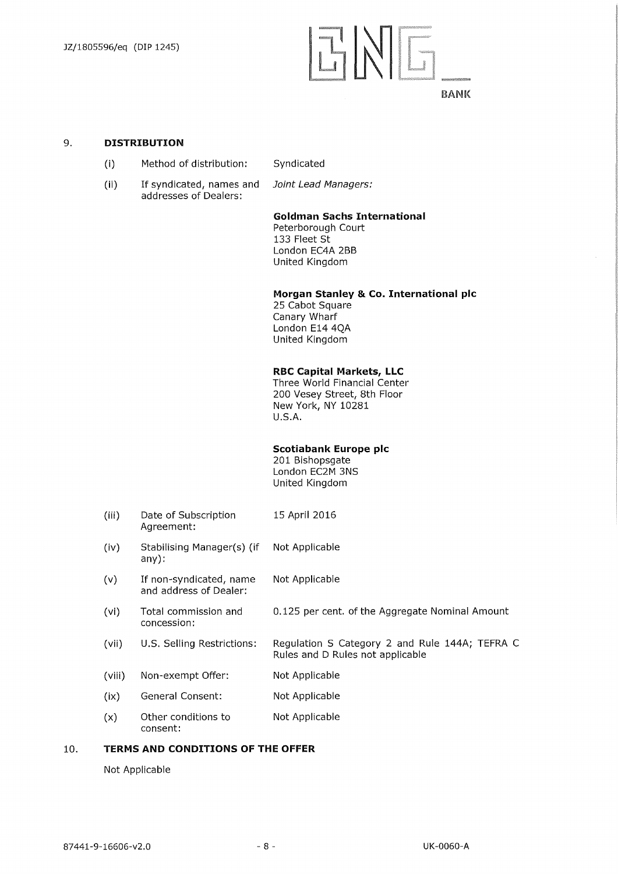## **TINIE**

## BANK

#### 9. **DISTRIBUTION**

- (I) Method of distribution: Syndicated
- (ii) If syndicated, names and *Joint Lead Managers:*  addresses of Dealers:

## **Goldman Sachs International**

Peterborough Court 133 Fleet St London EC4A 2BB United Kingdom

#### **Morgan Stanley & Co. International plc**

25 Cabot Square Canary Wharf London E14 4QA United Kingdom

#### **RBC Capital Markets, LLC**

Three World Financial Center 200 Vesey Street, 8th Floor New York, NY 10281 U.S.A.

#### **Scotiabank Europe plc**

201 Bishopsgate London EC2M 3NS United Kingdom

- (iii) Date of Subscription 15 April 2016 Agreement:
- (iv) Stabilising Manager(s) (if Not Applicable any):
- (v) If non-syndicated, name Not Applicable and address of Dealer:
- (vi) Total commission and 0.125 per cent. of the Aggregate Nominal Amount concession:
- (vii) U.S. Selling Restrictions: Regulation S Category 2 and Rule 144A; TEFRA C Rules and D Rules not applicable
- (viii) Non-exempt Offer: Not Applicable
- (ix) General Consent: Not Applicable
- (x) Other conditions to Not Applicable consent:

#### 10. **TERMS AND CONDITIONS OF THE OFFER**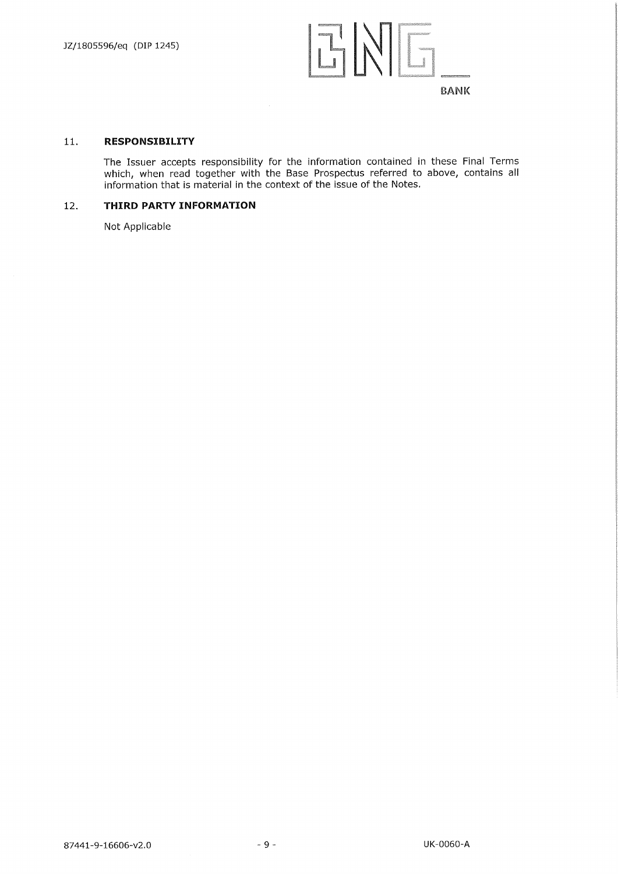

#### **11. RESPONSIBILITY**

The Issuer accepts responsibility for the information contained in these Final Terms which, when read together with the Base Prospectus referred to above, contains all information that is material in the context of the issue of the Notes.

## **12. THIRD PARTY INFORMATION**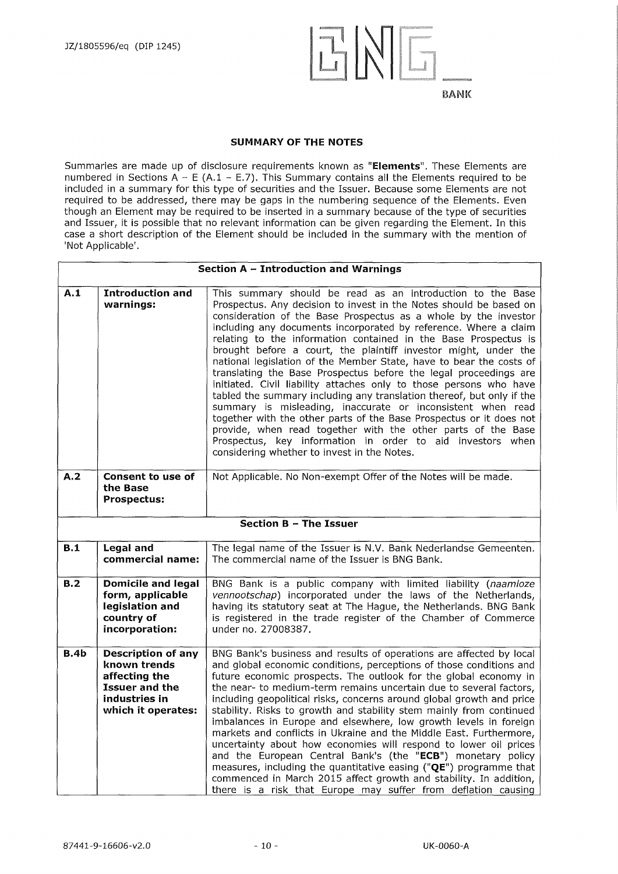![](_page_9_Picture_1.jpeg)

### **SUMMARY OF THE NOTES**

Summaries are made up of disclosure requirements known as **"Elements".** These Elements are numbered in Sections A - E (A.1 - E.7). This Summary contains all the Elements required to be included in a summary for this type of securities and the Issuer. Because some Elements are not required to be addressed, there may be gaps in the numbering sequence of the Elements. Even though an Element may be required to be inserted in a summary because of the type of securities and Issuer, it is possible that no relevant information can be given regarding the Element. In this case a short description of the Element should be included in the summary with the mention of 'Not Applicable'.

|                  |                                                                                                                            | Section A - Introduction and Warnings                                                                                                                                                                                                                                                                                                                                                                                                                                                                                                                                                                                                                                                                                                                                                                                                                                                                                                                                                                                      |  |  |  |  |
|------------------|----------------------------------------------------------------------------------------------------------------------------|----------------------------------------------------------------------------------------------------------------------------------------------------------------------------------------------------------------------------------------------------------------------------------------------------------------------------------------------------------------------------------------------------------------------------------------------------------------------------------------------------------------------------------------------------------------------------------------------------------------------------------------------------------------------------------------------------------------------------------------------------------------------------------------------------------------------------------------------------------------------------------------------------------------------------------------------------------------------------------------------------------------------------|--|--|--|--|
| A.1              | <b>Introduction and</b><br>warnings:                                                                                       | This summary should be read as an introduction to the Base<br>Prospectus. Any decision to invest in the Notes should be based on<br>consideration of the Base Prospectus as a whole by the investor<br>including any documents incorporated by reference. Where a claim<br>relating to the information contained in the Base Prospectus is<br>brought before a court, the plaintiff investor might, under the<br>national legislation of the Member State, have to bear the costs of<br>translating the Base Prospectus before the legal proceedings are<br>initiated. Civil liability attaches only to those persons who have<br>tabled the summary including any translation thereof, but only if the<br>summary is misleading, inaccurate or inconsistent when read<br>together with the other parts of the Base Prospectus or it does not<br>provide, when read together with the other parts of the Base<br>Prospectus, key information in order to aid investors when<br>considering whether to invest in the Notes. |  |  |  |  |
| A.2              | <b>Consent to use of</b><br>the Base<br><b>Prospectus:</b>                                                                 | Not Applicable. No Non-exempt Offer of the Notes will be made.                                                                                                                                                                                                                                                                                                                                                                                                                                                                                                                                                                                                                                                                                                                                                                                                                                                                                                                                                             |  |  |  |  |
|                  | Section B - The Issuer                                                                                                     |                                                                                                                                                                                                                                                                                                                                                                                                                                                                                                                                                                                                                                                                                                                                                                                                                                                                                                                                                                                                                            |  |  |  |  |
| B.1              | <b>Legal and</b><br>commercial name:                                                                                       | The legal name of the Issuer is N.V. Bank Nederlandse Gemeenten.<br>The commercial name of the Issuer is BNG Bank.                                                                                                                                                                                                                                                                                                                                                                                                                                                                                                                                                                                                                                                                                                                                                                                                                                                                                                         |  |  |  |  |
| $\overline{B.2}$ | <b>Domicile and legal</b><br>form, applicable<br>legislation and<br>country of<br>incorporation:                           | BNG Bank is a public company with limited liability (naamloze<br>vennootschap) incorporated under the laws of the Netherlands,<br>having its statutory seat at The Hague, the Netherlands. BNG Bank<br>is registered in the trade register of the Chamber of Commerce<br>under no. 27008387.                                                                                                                                                                                                                                                                                                                                                                                                                                                                                                                                                                                                                                                                                                                               |  |  |  |  |
| B.4b             | <b>Description of any</b><br>known trends<br>affecting the<br><b>Issuer and the</b><br>industries in<br>which it operates: | BNG Bank's business and results of operations are affected by local<br>and global economic conditions, perceptions of those conditions and<br>future economic prospects. The outlook for the global economy in<br>the near- to medium-term remains uncertain due to several factors,<br>including geopolitical risks, concerns around global growth and price<br>stability. Risks to growth and stability stem mainly from continued<br>imbalances in Europe and elsewhere, low growth levels in foreign<br>markets and conflicts in Ukraine and the Middle East. Furthermore,<br>uncertainty about how economies will respond to lower oil prices<br>and the European Central Bank's (the "ECB") monetary policy<br>measures, including the quantitative easing ("QE") programme that<br>commenced in March 2015 affect growth and stability. In addition,<br>there is a risk that Europe may suffer from deflation causing                                                                                               |  |  |  |  |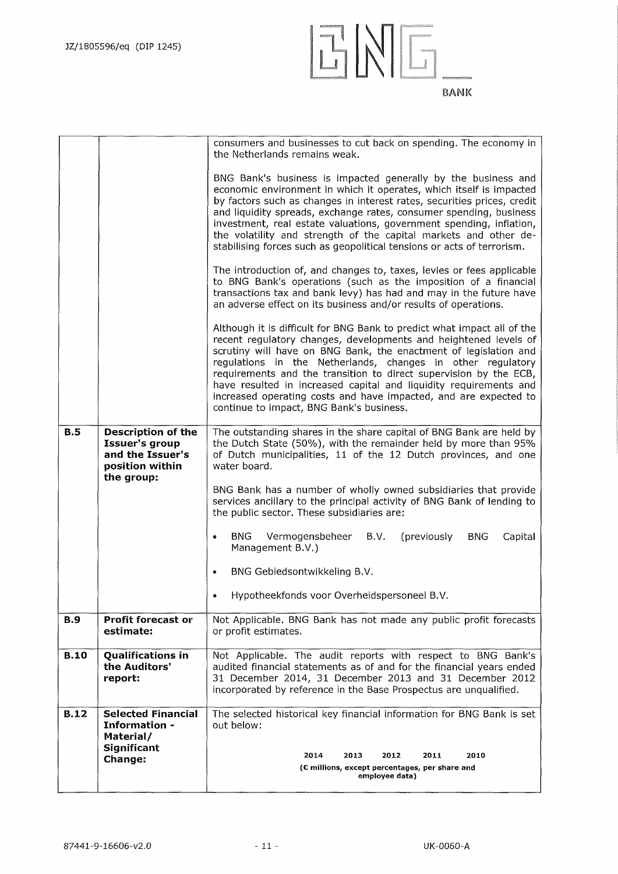![](_page_10_Figure_1.jpeg)

|             |                                                                                                         | consumers and businesses to cut back on spending. The economy in<br>the Netherlands remains weak.                                                                                                                                                                                                                                                                                                                                                                                                                                        |  |  |  |  |
|-------------|---------------------------------------------------------------------------------------------------------|------------------------------------------------------------------------------------------------------------------------------------------------------------------------------------------------------------------------------------------------------------------------------------------------------------------------------------------------------------------------------------------------------------------------------------------------------------------------------------------------------------------------------------------|--|--|--|--|
|             |                                                                                                         | BNG Bank's business is impacted generally by the business and<br>economic environment in which it operates, which itself is impacted<br>by factors such as changes in interest rates, securities prices, credit<br>and liquidity spreads, exchange rates, consumer spending, business<br>investment, real estate valuations, government spending, inflation,<br>the volatility and strength of the capital markets and other de-<br>stabilising forces such as geopolitical tensions or acts of terrorism.                               |  |  |  |  |
|             |                                                                                                         | The introduction of, and changes to, taxes, levies or fees applicable<br>to BNG Bank's operations (such as the imposition of a financial<br>transactions tax and bank levy) has had and may in the future have<br>an adverse effect on its business and/or results of operations.                                                                                                                                                                                                                                                        |  |  |  |  |
|             |                                                                                                         | Although it is difficult for BNG Bank to predict what impact all of the<br>recent regulatory changes, developments and heightened levels of<br>scrutiny will have on BNG Bank, the enactment of legislation and<br>regulations in the Netherlands, changes in other regulatory<br>requirements and the transition to direct supervision by the ECB,<br>have resulted in increased capital and liquidity requirements and<br>increased operating costs and have impacted, and are expected to<br>continue to impact, BNG Bank's business. |  |  |  |  |
| B.5         | <b>Description of the</b><br><b>Issuer's group</b><br>and the Issuer's<br>position within<br>the group: | The outstanding shares in the share capital of BNG Bank are held by<br>the Dutch State (50%), with the remainder held by more than 95%<br>of Dutch municipalities, 11 of the 12 Dutch provinces, and one<br>water board.                                                                                                                                                                                                                                                                                                                 |  |  |  |  |
|             |                                                                                                         | BNG Bank has a number of wholly owned subsidiaries that provide<br>services ancillary to the principal activity of BNG Bank of lending to<br>the public sector. These subsidiaries are:                                                                                                                                                                                                                                                                                                                                                  |  |  |  |  |
|             |                                                                                                         | <b>BNG</b><br>B.V.<br>(previously<br><b>BNG</b><br>Vermogensbeheer<br>Capital<br>$\bullet$<br>Management B.V.)                                                                                                                                                                                                                                                                                                                                                                                                                           |  |  |  |  |
|             |                                                                                                         | BNG Gebiedsontwikkeling B.V.<br>$\bullet$                                                                                                                                                                                                                                                                                                                                                                                                                                                                                                |  |  |  |  |
|             |                                                                                                         | Hypotheekfonds voor Overheidspersoneel B.V.                                                                                                                                                                                                                                                                                                                                                                                                                                                                                              |  |  |  |  |
| <b>B.9</b>  | <b>Profit forecast or</b><br>estimate:                                                                  | Not Applicable. BNG Bank has not made any public profit forecasts<br>or profit estimates.                                                                                                                                                                                                                                                                                                                                                                                                                                                |  |  |  |  |
| <b>B.10</b> | <b>Qualifications in</b><br>the Auditors'<br>report:                                                    | Not Applicable. The audit reports with respect to BNG Bank's<br>audited financial statements as of and for the financial years ended<br>31 December 2014, 31 December 2013 and 31 December 2012<br>incorporated by reference in the Base Prospectus are unqualified.                                                                                                                                                                                                                                                                     |  |  |  |  |
| <b>B.12</b> | <b>Selected Financial</b><br>Information -<br>Material/                                                 | The selected historical key financial information for BNG Bank is set<br>out below:                                                                                                                                                                                                                                                                                                                                                                                                                                                      |  |  |  |  |
|             | <b>Significant</b><br>Change:                                                                           | 2014<br>2013<br>2012<br>2011<br>2010<br>(C millions, except percentages, per share and<br>employee data)                                                                                                                                                                                                                                                                                                                                                                                                                                 |  |  |  |  |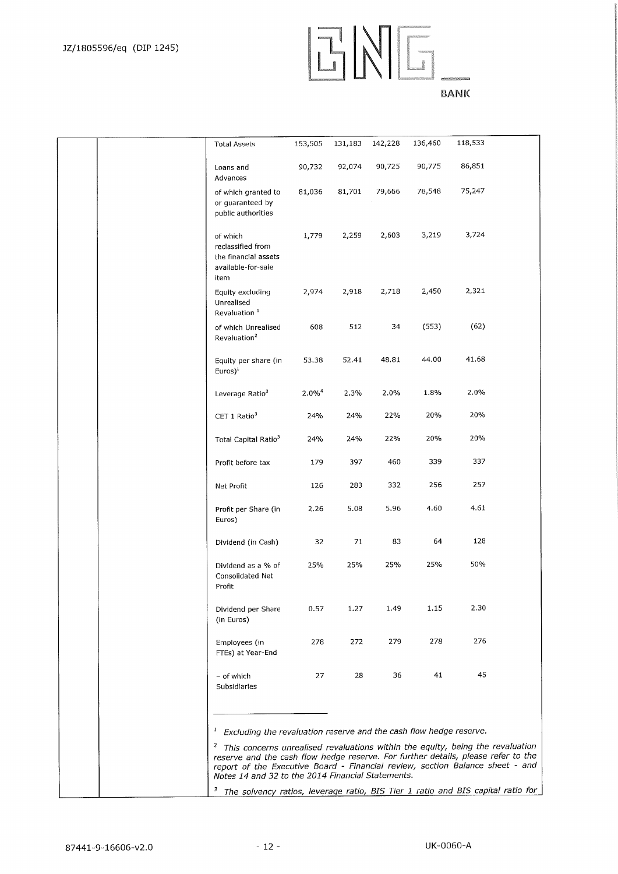# ENG\_

| т<br>an I | ×.<br>u. |
|-----------|----------|
|-----------|----------|

|  | <b>Total Assets</b>                                                                                                                                                                                                                                                                                                    | 153,505  | 131,183 | 142,228 | 136,460 | 118,533 |  |
|--|------------------------------------------------------------------------------------------------------------------------------------------------------------------------------------------------------------------------------------------------------------------------------------------------------------------------|----------|---------|---------|---------|---------|--|
|  | Loans and<br>Advances                                                                                                                                                                                                                                                                                                  | 90,732   | 92,074  | 90,725  | 90,775  | 86,851  |  |
|  | of which granted to<br>or guaranteed by<br>public authorities                                                                                                                                                                                                                                                          | 81,036   | 81,701  | 79,666  | 78,548  | 75,247  |  |
|  | of which<br>reclassified from<br>the financial assets<br>available-for-sale<br>item                                                                                                                                                                                                                                    | 1,779    | 2,259   | 2,603   | 3,219   | 3,724   |  |
|  | Equity excluding<br>Unrealised<br>Revaluation <sup>1</sup>                                                                                                                                                                                                                                                             | 2,974    | 2,918   | 2,718   | 2,450   | 2,321   |  |
|  | of which Unrealised<br>Revaluation <sup>2</sup>                                                                                                                                                                                                                                                                        | 608      | 512     | 34      | (553)   | (62)    |  |
|  | Equity per share (in<br>$Euros)^1$                                                                                                                                                                                                                                                                                     | 53.38    | 52.41   | 48.81   | 44.00   | 41.68   |  |
|  | Leverage Ratio <sup>3</sup>                                                                                                                                                                                                                                                                                            | $2.0\%4$ | 2.3%    | 2.0%    | 1.8%    | 2.0%    |  |
|  | CET 1 Ratio <sup>3</sup>                                                                                                                                                                                                                                                                                               | 24%      | 24%     | 22%     | 20%     | 20%     |  |
|  | Total Capital Ratio <sup>3</sup>                                                                                                                                                                                                                                                                                       | 24%      | 24%     | 22%     | 20%     | 20%     |  |
|  | Profit before tax                                                                                                                                                                                                                                                                                                      | 179      | 397     | 460     | 339     | 337     |  |
|  | Net Profit                                                                                                                                                                                                                                                                                                             | 126      | 283     | 332     | 256     | 257     |  |
|  | Profit per Share (in<br>Euros)                                                                                                                                                                                                                                                                                         | 2.26     | 5.08    | 5.96    | 4.60    | 4.61    |  |
|  | Dividend (in Cash)                                                                                                                                                                                                                                                                                                     | 32       | 71      | 83      | 64      | 128     |  |
|  | Dividend as a % of<br>Consolidated Net<br>Profit                                                                                                                                                                                                                                                                       | 25%      | 25%     | 25%     | 25%     | 50%     |  |
|  | Dividend per Share<br>(in Euros)                                                                                                                                                                                                                                                                                       | 0.57     | 1.27    | 1.49    | 1,15    | 2.30    |  |
|  | Employees (in<br>FTEs) at Year-End                                                                                                                                                                                                                                                                                     | 278      | 272     | 279     | 278     | 276     |  |
|  | - of which<br>Subsidiaries                                                                                                                                                                                                                                                                                             | 27       | 28      | 36      | 41      | 45      |  |
|  |                                                                                                                                                                                                                                                                                                                        |          |         |         |         |         |  |
|  | Excluding the revaluation reserve and the cash flow hedge reserve.<br>$\mathcal{I}_{\mathcal{A}}$                                                                                                                                                                                                                      |          |         |         |         |         |  |
|  | <sup>2</sup> This concerns unrealised revaluations within the equity, being the revaluation<br>reserve and the cash flow hedge reserve. For further details, please refer to the<br>report of the Executive Board - Financial review, section Balance sheet - and<br>Notes 14 and 32 to the 2014 Financial Statements. |          |         |         |         |         |  |
|  | <sup>3</sup> The solvency ratios, leverage ratio, BIS Tier 1 ratio and BIS capital ratio for                                                                                                                                                                                                                           |          |         |         |         |         |  |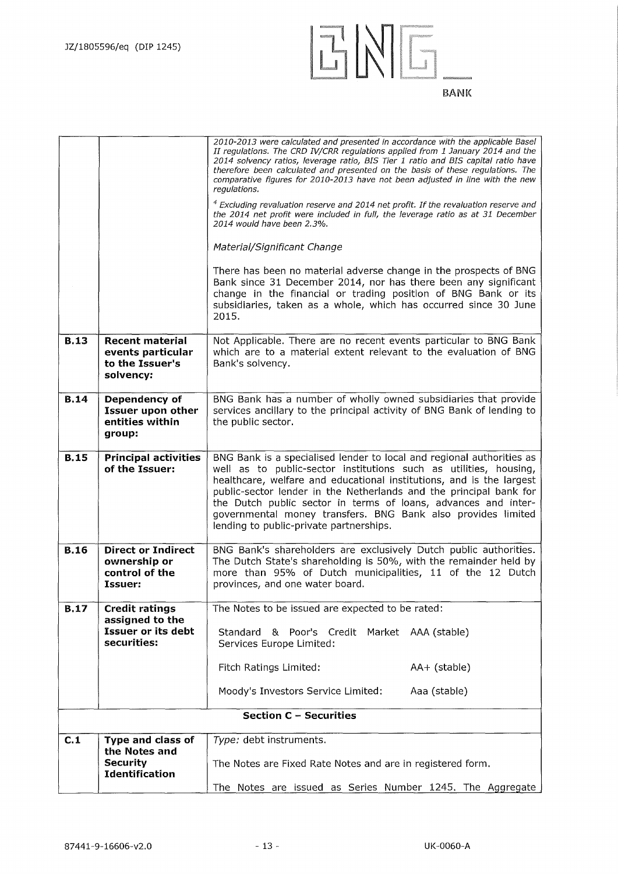![](_page_12_Figure_1.jpeg)

|             |                                                                             | 2010-2013 were calculated and presented in accordance with the applicable Basel<br>II regulations. The CRD IV/CRR regulations applied from 1 January 2014 and the<br>2014 solvency ratios, leverage ratio, BIS Tier 1 ratio and BIS capital ratio have<br>therefore been calculated and presented on the basis of these regulations. The<br>comparative figures for 2010-2013 have not been adjusted in line with the new<br>regulations.<br>$4$ Excluding revaluation reserve and 2014 net profit. If the revaluation reserve and |  |  |  |
|-------------|-----------------------------------------------------------------------------|------------------------------------------------------------------------------------------------------------------------------------------------------------------------------------------------------------------------------------------------------------------------------------------------------------------------------------------------------------------------------------------------------------------------------------------------------------------------------------------------------------------------------------|--|--|--|
|             |                                                                             | the 2014 net profit were included in full, the leverage ratio as at 31 December<br>2014 would have been 2.3%.                                                                                                                                                                                                                                                                                                                                                                                                                      |  |  |  |
|             |                                                                             | Material/Significant Change                                                                                                                                                                                                                                                                                                                                                                                                                                                                                                        |  |  |  |
|             |                                                                             | There has been no material adverse change in the prospects of BNG<br>Bank since 31 December 2014, nor has there been any significant<br>change in the financial or trading position of BNG Bank or its<br>subsidiaries, taken as a whole, which has occurred since 30 June<br>2015.                                                                                                                                                                                                                                                |  |  |  |
| <b>B.13</b> | <b>Recent material</b><br>events particular<br>to the Issuer's<br>solvency: | Not Applicable. There are no recent events particular to BNG Bank<br>which are to a material extent relevant to the evaluation of BNG<br>Bank's solvency.                                                                                                                                                                                                                                                                                                                                                                          |  |  |  |
| <b>B.14</b> | Dependency of<br><b>Issuer upon other</b><br>entities within<br>group:      | BNG Bank has a number of wholly owned subsidiaries that provide<br>services ancillary to the principal activity of BNG Bank of lending to<br>the public sector.                                                                                                                                                                                                                                                                                                                                                                    |  |  |  |
| <b>B.15</b> | <b>Principal activities</b><br>of the Issuer:                               | BNG Bank is a specialised lender to local and regional authorities as<br>well as to public-sector institutions such as utilities, housing,<br>healthcare, welfare and educational institutions, and is the largest<br>public-sector lender in the Netherlands and the principal bank for<br>the Dutch public sector in terms of loans, advances and inter-<br>governmental money transfers. BNG Bank also provides limited<br>lending to public-private partnerships.                                                              |  |  |  |
| <b>B.16</b> | <b>Direct or Indirect</b><br>ownership or<br>control of the<br>Issuer:      | BNG Bank's shareholders are exclusively Dutch public authorities.<br>The Dutch State's shareholding is 50%, with the remainder held by<br>more than 95% of Dutch municipalities, 11 of the 12 Dutch<br>provinces, and one water board.                                                                                                                                                                                                                                                                                             |  |  |  |
| <b>B.17</b> | <b>Credit ratings</b><br>assigned to the                                    | The Notes to be issued are expected to be rated:                                                                                                                                                                                                                                                                                                                                                                                                                                                                                   |  |  |  |
|             | <b>Issuer or its debt</b><br>securities:                                    | & Poor's Credit<br>Standard<br>Market AAA (stable)<br>Services Europe Limited:                                                                                                                                                                                                                                                                                                                                                                                                                                                     |  |  |  |
|             |                                                                             | Fitch Ratings Limited:<br>AA+ (stable)                                                                                                                                                                                                                                                                                                                                                                                                                                                                                             |  |  |  |
|             |                                                                             | Moody's Investors Service Limited:<br>Aaa (stable)                                                                                                                                                                                                                                                                                                                                                                                                                                                                                 |  |  |  |
|             |                                                                             | <b>Section C - Securities</b>                                                                                                                                                                                                                                                                                                                                                                                                                                                                                                      |  |  |  |
| C.1         | Type and class of                                                           | Type: debt instruments.                                                                                                                                                                                                                                                                                                                                                                                                                                                                                                            |  |  |  |
|             | the Notes and<br>Security<br><b>Identification</b>                          | The Notes are Fixed Rate Notes and are in registered form.                                                                                                                                                                                                                                                                                                                                                                                                                                                                         |  |  |  |
|             |                                                                             | The Notes are issued as Series Number 1245. The Aggregate                                                                                                                                                                                                                                                                                                                                                                                                                                                                          |  |  |  |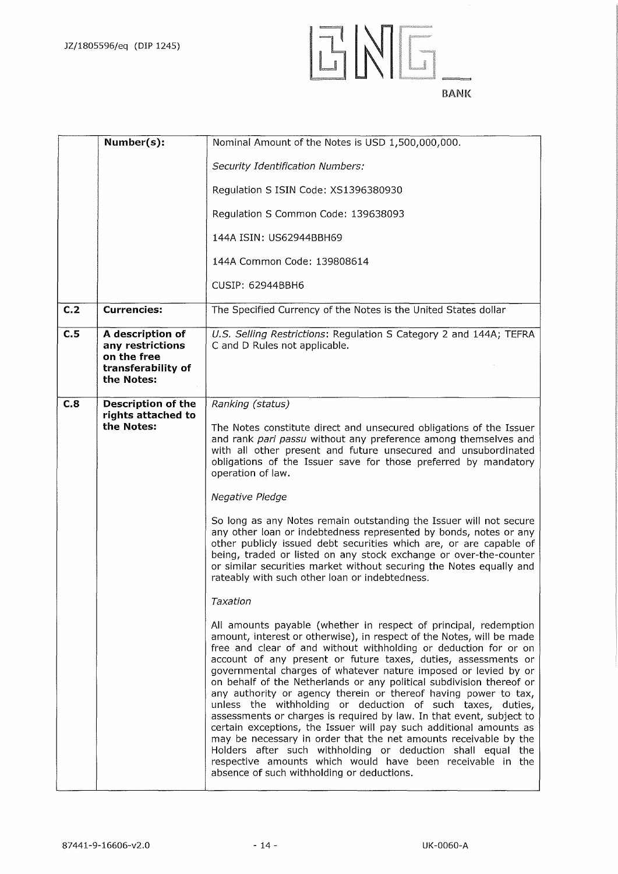![](_page_13_Figure_1.jpeg)

|                | Number(s):                                                                              | Nominal Amount of the Notes is USD 1,500,000,000.                                                                                                                                                                                                                                                                                                                                                                                                                                                                                                                                                                                                                                                                                                                                                                                                                                                                                                        |
|----------------|-----------------------------------------------------------------------------------------|----------------------------------------------------------------------------------------------------------------------------------------------------------------------------------------------------------------------------------------------------------------------------------------------------------------------------------------------------------------------------------------------------------------------------------------------------------------------------------------------------------------------------------------------------------------------------------------------------------------------------------------------------------------------------------------------------------------------------------------------------------------------------------------------------------------------------------------------------------------------------------------------------------------------------------------------------------|
|                |                                                                                         | <b>Security Identification Numbers:</b>                                                                                                                                                                                                                                                                                                                                                                                                                                                                                                                                                                                                                                                                                                                                                                                                                                                                                                                  |
|                |                                                                                         | Regulation S ISIN Code: XS1396380930                                                                                                                                                                                                                                                                                                                                                                                                                                                                                                                                                                                                                                                                                                                                                                                                                                                                                                                     |
|                |                                                                                         | Regulation S Common Code: 139638093                                                                                                                                                                                                                                                                                                                                                                                                                                                                                                                                                                                                                                                                                                                                                                                                                                                                                                                      |
|                |                                                                                         | 144A ISIN: US62944BBH69                                                                                                                                                                                                                                                                                                                                                                                                                                                                                                                                                                                                                                                                                                                                                                                                                                                                                                                                  |
|                |                                                                                         | 144A Common Code: 139808614                                                                                                                                                                                                                                                                                                                                                                                                                                                                                                                                                                                                                                                                                                                                                                                                                                                                                                                              |
|                |                                                                                         | CUSIP: 62944BBH6                                                                                                                                                                                                                                                                                                                                                                                                                                                                                                                                                                                                                                                                                                                                                                                                                                                                                                                                         |
| C <sub>2</sub> | <b>Currencies:</b>                                                                      | The Specified Currency of the Notes is the United States dollar                                                                                                                                                                                                                                                                                                                                                                                                                                                                                                                                                                                                                                                                                                                                                                                                                                                                                          |
| C.5            | A description of<br>any restrictions<br>on the free<br>transferability of<br>the Notes: | U.S. Selling Restrictions: Regulation S Category 2 and 144A; TEFRA<br>C and D Rules not applicable.                                                                                                                                                                                                                                                                                                                                                                                                                                                                                                                                                                                                                                                                                                                                                                                                                                                      |
| C.8            | <b>Description of the</b>                                                               | Ranking (status)                                                                                                                                                                                                                                                                                                                                                                                                                                                                                                                                                                                                                                                                                                                                                                                                                                                                                                                                         |
|                | rights attached to<br>the Notes:                                                        | The Notes constitute direct and unsecured obligations of the Issuer<br>and rank pari passu without any preference among themselves and<br>with all other present and future unsecured and unsubordinated<br>obligations of the Issuer save for those preferred by mandatory<br>operation of law.<br>Negative Pledge<br>So long as any Notes remain outstanding the Issuer will not secure<br>any other loan or indebtedness represented by bonds, notes or any                                                                                                                                                                                                                                                                                                                                                                                                                                                                                           |
|                |                                                                                         | other publicly issued debt securities which are, or are capable of<br>being, traded or listed on any stock exchange or over-the-counter<br>or similar securities market without securing the Notes equally and<br>rateably with such other loan or indebtedness.                                                                                                                                                                                                                                                                                                                                                                                                                                                                                                                                                                                                                                                                                         |
|                |                                                                                         | Taxation                                                                                                                                                                                                                                                                                                                                                                                                                                                                                                                                                                                                                                                                                                                                                                                                                                                                                                                                                 |
|                |                                                                                         | All amounts payable (whether in respect of principal, redemption<br>amount, interest or otherwise), in respect of the Notes, will be made<br>free and clear of and without withholding or deduction for or on<br>account of any present or future taxes, duties, assessments or<br>governmental charges of whatever nature imposed or levied by or<br>on behalf of the Netherlands or any political subdivision thereof or<br>any authority or agency therein or thereof having power to tax,<br>unless the withholding or deduction of such taxes, duties,<br>assessments or charges is required by law. In that event, subject to<br>certain exceptions, the Issuer will pay such additional amounts as<br>may be necessary in order that the net amounts receivable by the<br>Holders after such withholding or deduction shall equal the<br>respective amounts which would have been receivable in the<br>absence of such withholding or deductions. |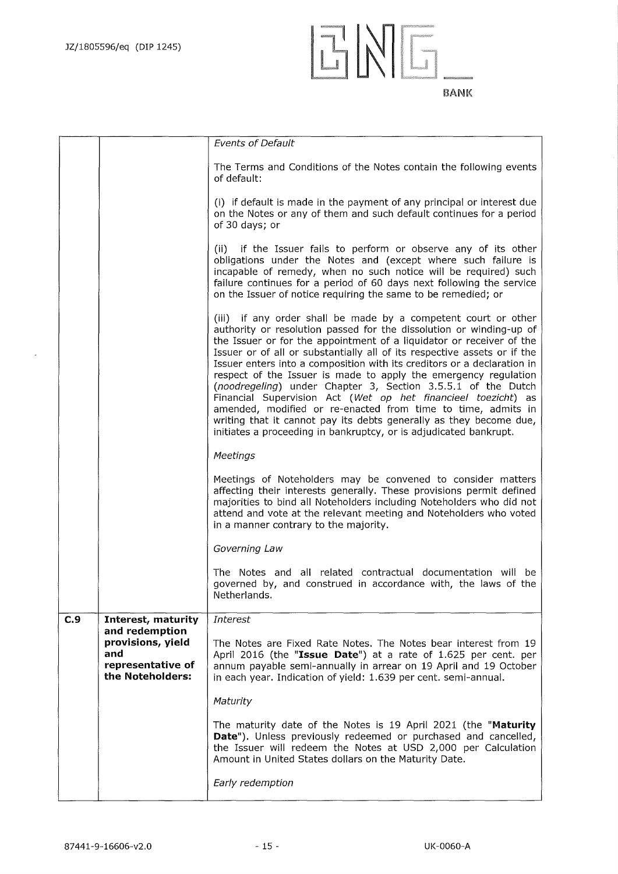![](_page_14_Figure_1.jpeg)

*Events of Default*  The Terms and Conditions of the Notes contain the following events of default: (i) if default is made in the payment of any principal or interest due on the Notes or any of them and such default continues for a period of 30 days; or (ii) if the Issuer fails to perform or observe any of its other obligations under the Notes and (except where such failure is incapable of remedy, when no such notice will be required) such failure continues for a period of 60 days next following the service on the Issuer of notice requiring the same to be remedied; or (iii) if any order shall be made by a competent court or other authority or resolution passed for the dissolution or winding-up of the Issuer or for the appointment of a liquidator or receiver of the Issuer or of all or substantially all of its respective assets or if the Issuer enters into a composition with its creditors or a declaration in respect of the Issuer is made to apply the emergency regulation *(noodregeling)* under Chapter 3, Section 3.5.5.1 of the Dutch Financial Supervision Act *(Wet op het financieel toezicht)* as amended, modified or re-enacted from time to time, admits in writing that it cannot pay its debts generally as they become due, initiates a proceeding in bankruptcy, or is adjudicated bankrupt. *Meetings*  Meetings of Noteholders may be convened to consider matters affecting their interests generally. These provisions permit defined majorities to bind all Noteholders including Noteholders who did not attend and vote at the relevant meeting and Noteholders who voted in a manner contrary to the majority. *Governing Law*  The Notes and all related contractual documentation will be governed by, and construed in accordance with, the laws of the Netherlands. **C.9 Interest, maturity and redemption**  *Interest*  **provisions, yield** The Notes are Fixed Rate Notes. The Notes bear interest from 19<br>**and** Anril 2016 (the "**Issue Date**") at a rate of 1.625 per cent. per **and 1.625 per cent.** Papril 2016 (the "Issue Date") at a rate of 1.625 per cent. per cent. per cent. per same and the semi-annually in arrear on 19 April and 19 October **representative of** annum payable semi-annually in arrear on 19 April and 19 October<br>**the Noteholders:** in each year. Indication of vield: 1.639 per cent. semi-annual. **the Noteholders:** in each year. Indication of yield: 1.639 per cent. semi-annual. *Maturity*  The maturity date of the Notes is 19 April 2021 (the **"Maturity**  Date"). Unless previously redeemed or purchased and cancelled, the Issuer will redeem the Notes at USD 2,000 per Calculation Amount in United States dollars on the Maturity Date. *Early redemption*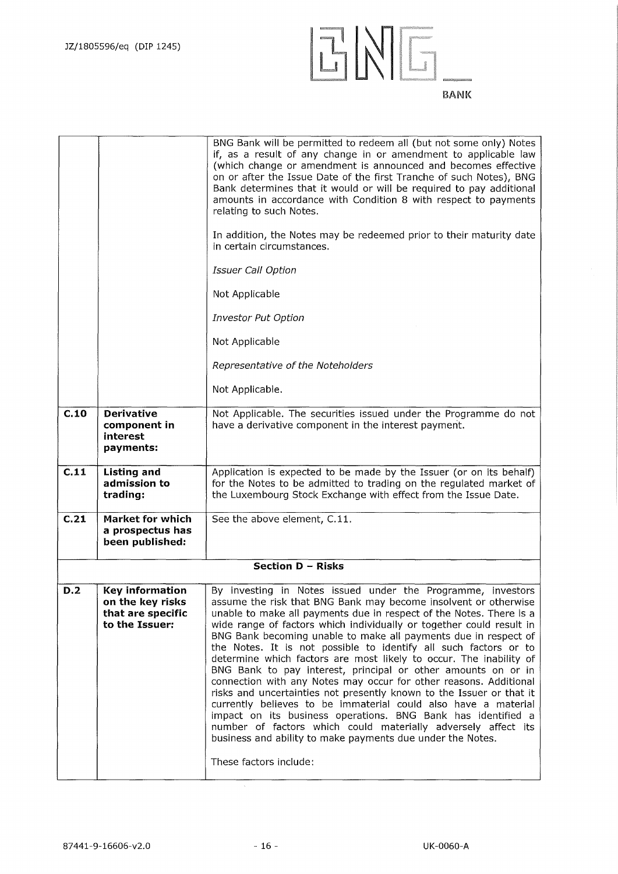![](_page_15_Picture_1.jpeg)

| relating to such Notes.<br>In addition, the Notes may be redeemed prior to their maturity date                                                                                                                                                                                                                                                                                                                                                                                                                                                                                                                                                                                                                                                                                                                                                                                                                                                                                                                                                                        |  |
|-----------------------------------------------------------------------------------------------------------------------------------------------------------------------------------------------------------------------------------------------------------------------------------------------------------------------------------------------------------------------------------------------------------------------------------------------------------------------------------------------------------------------------------------------------------------------------------------------------------------------------------------------------------------------------------------------------------------------------------------------------------------------------------------------------------------------------------------------------------------------------------------------------------------------------------------------------------------------------------------------------------------------------------------------------------------------|--|
| in certain circumstances.                                                                                                                                                                                                                                                                                                                                                                                                                                                                                                                                                                                                                                                                                                                                                                                                                                                                                                                                                                                                                                             |  |
| <b>Issuer Call Option</b>                                                                                                                                                                                                                                                                                                                                                                                                                                                                                                                                                                                                                                                                                                                                                                                                                                                                                                                                                                                                                                             |  |
| Not Applicable                                                                                                                                                                                                                                                                                                                                                                                                                                                                                                                                                                                                                                                                                                                                                                                                                                                                                                                                                                                                                                                        |  |
| <b>Investor Put Option</b>                                                                                                                                                                                                                                                                                                                                                                                                                                                                                                                                                                                                                                                                                                                                                                                                                                                                                                                                                                                                                                            |  |
| Not Applicable                                                                                                                                                                                                                                                                                                                                                                                                                                                                                                                                                                                                                                                                                                                                                                                                                                                                                                                                                                                                                                                        |  |
| Representative of the Noteholders                                                                                                                                                                                                                                                                                                                                                                                                                                                                                                                                                                                                                                                                                                                                                                                                                                                                                                                                                                                                                                     |  |
| Not Applicable.                                                                                                                                                                                                                                                                                                                                                                                                                                                                                                                                                                                                                                                                                                                                                                                                                                                                                                                                                                                                                                                       |  |
| C.10<br><b>Derivative</b><br>Not Applicable. The securities issued under the Programme do not<br>have a derivative component in the interest payment.<br>component in<br>interest<br>payments:                                                                                                                                                                                                                                                                                                                                                                                                                                                                                                                                                                                                                                                                                                                                                                                                                                                                        |  |
| C.11<br><b>Listing and</b><br>Application is expected to be made by the Issuer (or on its behalf)<br>admission to<br>for the Notes to be admitted to trading on the regulated market of<br>the Luxembourg Stock Exchange with effect from the Issue Date.<br>trading:                                                                                                                                                                                                                                                                                                                                                                                                                                                                                                                                                                                                                                                                                                                                                                                                 |  |
| C.21<br><b>Market for which</b><br>See the above element, C.11.<br>a prospectus has<br>been published:                                                                                                                                                                                                                                                                                                                                                                                                                                                                                                                                                                                                                                                                                                                                                                                                                                                                                                                                                                |  |
| <b>Section D - Risks</b>                                                                                                                                                                                                                                                                                                                                                                                                                                                                                                                                                                                                                                                                                                                                                                                                                                                                                                                                                                                                                                              |  |
| D.2<br><b>Key information</b><br>By investing in Notes issued under the Programme, investors<br>on the key risks<br>assume the risk that BNG Bank may become insolvent or otherwise<br>that are specific<br>unable to make all payments due in respect of the Notes. There is a<br>to the Issuer:<br>wide range of factors which individually or together could result in<br>BNG Bank becoming unable to make all payments due in respect of<br>the Notes. It is not possible to identify all such factors or to<br>determine which factors are most likely to occur. The inability of<br>BNG Bank to pay interest, principal or other amounts on or in<br>connection with any Notes may occur for other reasons. Additional<br>risks and uncertainties not presently known to the Issuer or that it<br>currently believes to be immaterial could also have a material<br>impact on its business operations. BNG Bank has identified a<br>number of factors which could materially adversely affect its<br>business and ability to make payments due under the Notes. |  |
| These factors include:                                                                                                                                                                                                                                                                                                                                                                                                                                                                                                                                                                                                                                                                                                                                                                                                                                                                                                                                                                                                                                                |  |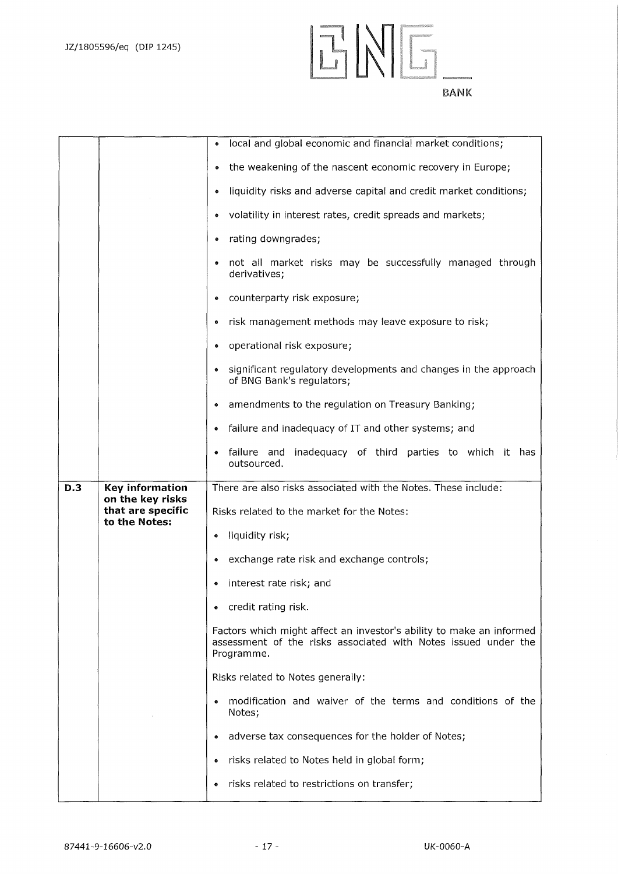![](_page_16_Picture_1.jpeg)

![](_page_16_Figure_2.jpeg)

|     |                                       | local and global economic and financial market conditions;<br>۰                                                                                      |
|-----|---------------------------------------|------------------------------------------------------------------------------------------------------------------------------------------------------|
|     |                                       | the weakening of the nascent economic recovery in Europe;<br>$\bullet$                                                                               |
|     |                                       | liquidity risks and adverse capital and credit market conditions;<br>$\bullet$                                                                       |
|     |                                       | volatility in interest rates, credit spreads and markets;<br>۰                                                                                       |
|     |                                       | rating downgrades;<br>۰                                                                                                                              |
|     |                                       | not all market risks may be successfully managed through<br>derivatives;                                                                             |
|     |                                       | counterparty risk exposure;                                                                                                                          |
|     |                                       | risk management methods may leave exposure to risk;                                                                                                  |
|     |                                       | operational risk exposure;<br>۰                                                                                                                      |
|     |                                       | significant regulatory developments and changes in the approach<br>of BNG Bank's regulators;                                                         |
|     |                                       | amendments to the regulation on Treasury Banking;                                                                                                    |
|     |                                       | failure and inadequacy of IT and other systems; and<br>۰                                                                                             |
|     |                                       | failure and inadequacy of third parties to which it has<br>outsourced.                                                                               |
|     |                                       |                                                                                                                                                      |
| D.3 | Key information                       | There are also risks associated with the Notes. These include:                                                                                       |
|     | on the key risks<br>that are specific | Risks related to the market for the Notes:                                                                                                           |
|     | to the Notes:                         | liquidity risk;<br>۰                                                                                                                                 |
|     |                                       | exchange rate risk and exchange controls;                                                                                                            |
|     |                                       | interest rate risk; and                                                                                                                              |
|     |                                       | credit rating risk.<br>٠                                                                                                                             |
|     |                                       | Factors which might affect an investor's ability to make an informed<br>assessment of the risks associated with Notes issued under the<br>Programme. |
|     |                                       | Risks related to Notes generally:                                                                                                                    |
|     |                                       | modification and waiver of the terms and conditions of the<br>Notes;                                                                                 |
|     |                                       | adverse tax consequences for the holder of Notes;                                                                                                    |
|     |                                       | risks related to Notes held in global form;                                                                                                          |